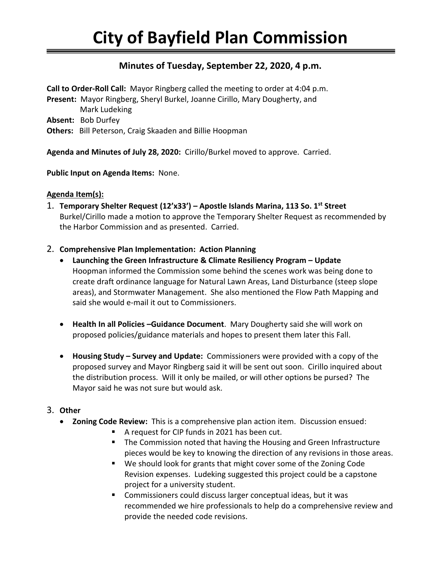## **Minutes of Tuesday, September 22, 2020, 4 p.m.**

**Call to Order-Roll Call:** Mayor Ringberg called the meeting to order at 4:04 p.m. **Present:** Mayor Ringberg, Sheryl Burkel, Joanne Cirillo, Mary Dougherty, and Mark Ludeking **Absent:** Bob Durfey **Others:** Bill Peterson, Craig Skaaden and Billie Hoopman

**Agenda and Minutes of July 28, 2020:** Cirillo/Burkel moved to approve. Carried.

## **Public Input on Agenda Items:** None.

## **Agenda Item(s):**

- 1. **Temporary Shelter Request (12'x33') – Apostle Islands Marina, 113 So. 1st Street** Burkel/Cirillo made a motion to approve the Temporary Shelter Request as recommended by the Harbor Commission and as presented. Carried.
- 2. **Comprehensive Plan Implementation: Action Planning**
	- **Launching the Green Infrastructure & Climate Resiliency Program – Update** Hoopman informed the Commission some behind the scenes work was being done to create draft ordinance language for Natural Lawn Areas, Land Disturbance (steep slope areas), and Stormwater Management. She also mentioned the Flow Path Mapping and said she would e-mail it out to Commissioners.
	- **Health In all Policies –Guidance Document**. Mary Dougherty said she will work on proposed policies/guidance materials and hopes to present them later this Fall.
	- **Housing Study – Survey and Update:** Commissioners were provided with a copy of the proposed survey and Mayor Ringberg said it will be sent out soon. Cirillo inquired about the distribution process. Will it only be mailed, or will other options be pursed? The Mayor said he was not sure but would ask.

## 3. **Other**

- **Zoning Code Review:** This is a comprehensive plan action item. Discussion ensued:
	- A request for CIP funds in 2021 has been cut.
	- The Commission noted that having the Housing and Green Infrastructure pieces would be key to knowing the direction of any revisions in those areas.
	- We should look for grants that might cover some of the Zoning Code Revision expenses. Ludeking suggested this project could be a capstone project for a university student.
	- Commissioners could discuss larger conceptual ideas, but it was recommended we hire professionals to help do a comprehensive review and provide the needed code revisions.